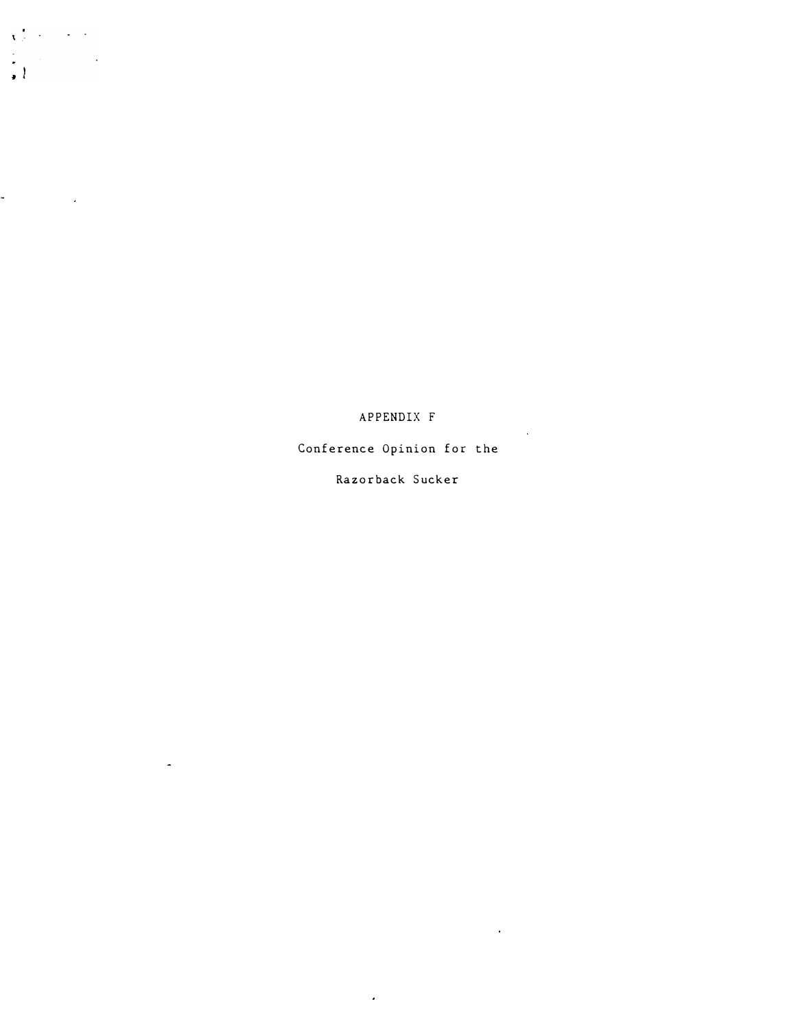APPENDIX F

 $\sim$   $\omega$ 

 $\hat{\mathbf{r}}$ 

 $\sqrt{2}$  , where  $\sqrt{2}$ 

 $\frac{1}{\sqrt{2}}\int_{0}^{\sqrt{2}}\frac{1}{\sqrt{2}}\left( \frac{1}{2}\right) \left( \frac{1}{2}\right) \left( \frac{1}{2}\right) \left( \frac{1}{2}\right) \left( \frac{1}{2}\right) \left( \frac{1}{2}\right) \left( \frac{1}{2}\right) \left( \frac{1}{2}\right) \left( \frac{1}{2}\right) \left( \frac{1}{2}\right) \left( \frac{1}{2}\right) \left( \frac{1}{2}\right) \left( \frac{1}{2}\right) \left( \frac{1}{2}\right) \left( \frac{1}{2}\right) \left( \frac{1}{2$ 

 $\mathcal{L}^{\text{max}}_{\text{max}}$  and  $\mathcal{L}^{\text{max}}_{\text{max}}$ 

 $\omega$ 

 $\overline{a}$ 

Conference Opinion for the

Razorback Sucker

 $\epsilon$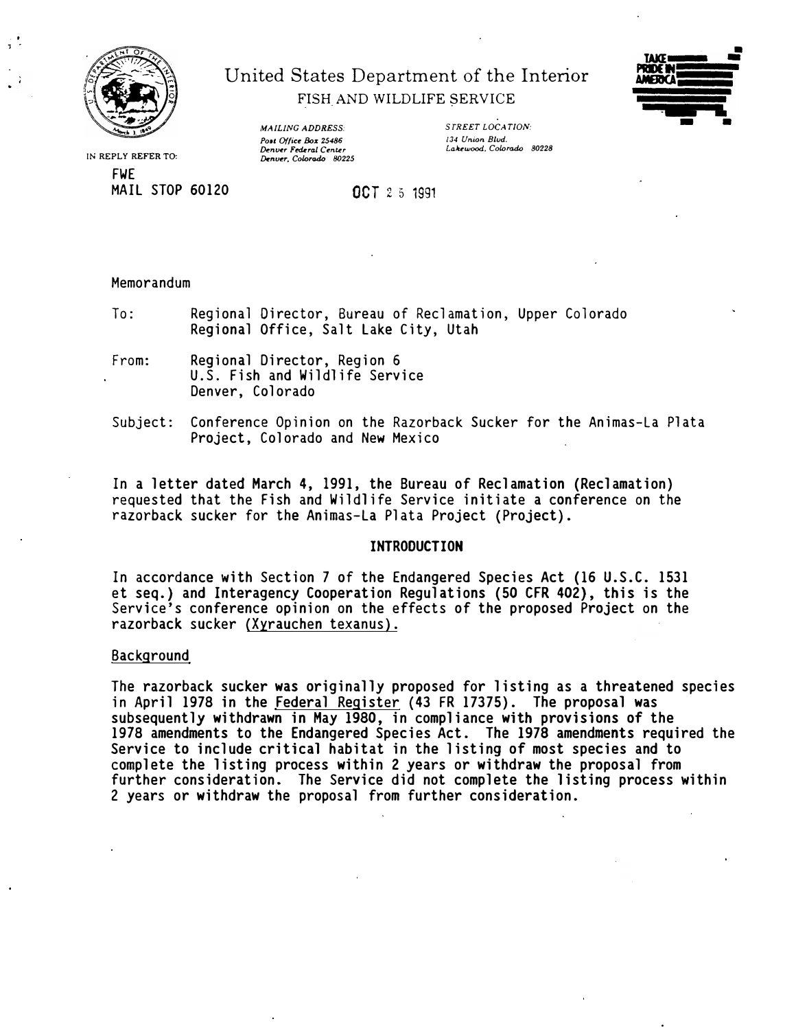

 $\ddot{\phantom{0}}$ 1 •

# United States Department of the Interior FISH AND WILDLIFE SERVICE



**IN REPLY REFER TO:**  FWE MAIL STOP 60120 *MAILING ADDRESS:*  Post Office Box 25486 Denver Federal Center<br>Denver, Colorado <sup>80225</sup> *STREET LOCATION: 13-1 Union Blvd. Laltewood. Colorado 80228* 

OCT 2 5 1991

## Memorandum

To: Regional Director, Bureau of Reclamation, Upper Colorado Regional Office, Salt Lake City, Utah

- From: Regional Director, Region 6 U.S. Fish and Wildlife Service Denver, Colorado
- Subject: Conference Opinion on the Razorback Sucker for the Animas-La Plata Project, Colorado and New Mexico

In a letter dated March 4, 1991, the Bureau of Reclamation (Reclamation) requested that the Fish and Wildlife Service initiate a conference on the razorback sucker for the Animas-La Plata Project (Project).

### **INTRODUCTION**

In accordance with Section 7 of the Endangered Species Act (16 U.S.C. 1531 et seq.) and Interagency Cooperation Regulations (50 CFR 402), this is the Service's conference opinion on the effects of the proposed Project on the razorback sucker {Xyrauchen texanus).

### Background

The razorback sucker was originally proposed for listing as a threatened species in April 1978 in the Federal Register {43 FR 17375). The proposal was subsequently withdrawn in May 1980, in compliance with provisions of the 1978 amendments to the Endangered Species Act. The 1978 amendments required the Service to include critical habitat in the listing of most species and to complete the listing process within 2 years or withdraw the proposal from further consideration. The Service did not complete the listing process within 2 years or withdraw the proposal from further consideration.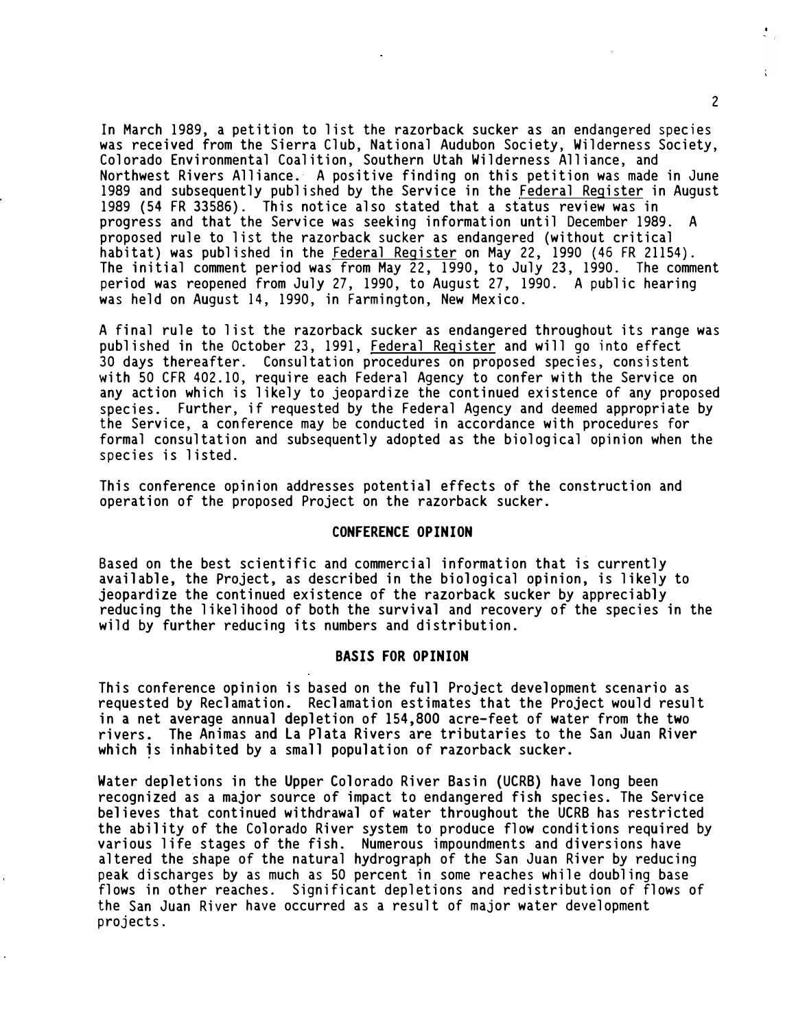In March 1989, a petition to list the razorback sucker as an endangered species was received from the Sierra Club, National Audubon Society, Wilderness Society, Colorado Environmental Coalition, Southern Utah Wilderness Alliance, and Northwest Rivers Alliance. A positive finding on this petition was made in June 1989 and subsequently published by the Service in the Federal Register in August 1989 (54 FR 33586). This notice also stated that a status review was in progress and that the Service was seeking information until December 1989. A proposed rule to list the razorback sucker as endangered (without critical habitat) was published in the Federal Register on May 22, 1990 (46 FR 21154). The initial comment period was from May 22, 1990, to July 23, 1990. The comment period was reopened from July 27, 1990, to August 27, 1990. A public hearing was held on August 14, 1990, in Farmington, New Mexico.

A final rule to list the razorback sucker as endangered throughout its range was published in the October 23, 1991, Federal Register and will go into effect 30 days thereafter. Consultation procedures on proposed species, consistent with 50 CFR 402.10, require each Federal Agency to confer with the Service on any action which is likely to jeopardize the continued existence of any proposed species. Further, if requested by the Federal Agency and deemed appropriate by the Service, a conference may be conducted in accordance with procedures for formal consultation and subsequently adopted as the biological opinion when the species is listed.

This conference opinion addresses potential effects of the construction and operation of the proposed Project on the razorback sucker.

### **CONFERENCE OPINION**

Based on the best scientific and commercial information that is currently available, the Project, as described in the biological opinion, is likely to jeopardize the continued existence of the razorback sucker by appreciably reducing the likelihood of both the survival and recovery of the species in the wild by further reducing its numbers and distribution.

### **BASIS FOR OPINION**

This conference opinion is based on the full Project development scenario as requested by Reclamation. Reclamation estimates that the Project would result in a net average annual depletion of 154,800 acre-feet of water from the two rivers. The Animas and La Plata Rivers are tributaries to the San Juan River which is inhabited by a small population of razorback sucker.

Water depletions in the Upper Colorado River Basin (UCRB) have long been recognized as a major source of impact to endangered fish species. The Service believes that continued withdrawal of water throughout the UCRB has restricted the ability of the Colorado River system to produce flow conditions required by various life stages of the fish. Numerous impoundments and diversions have altered the �hape of the natural hydrograph of the San Juan River by reducing peak discharges by as much as 50 percent in some reaches while doubling base flows in other reaches. Significant depletions and redistribution of flows of the San Juan River have occurred as a result of major water development projects.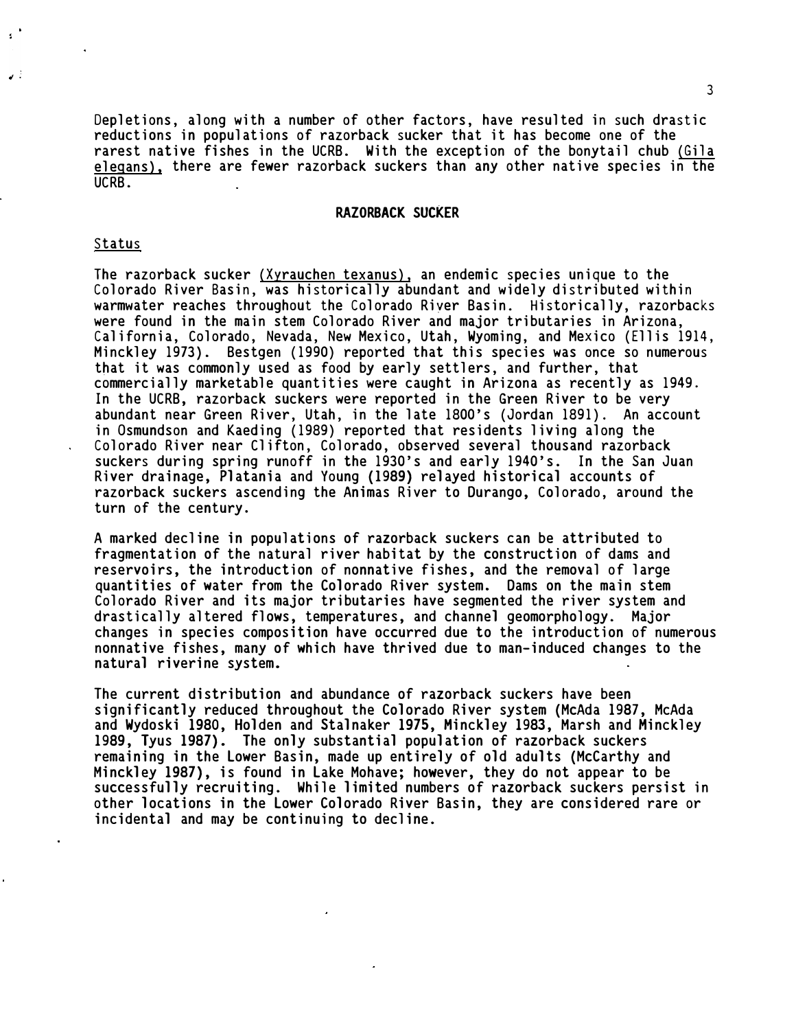**Depletions, along with a number of other factors, have resulted in such drastic reductions in populations of razorback sucker that it has become one of the rarest native fishes in the UCRB. With the exception of the bonytail chub (Gila**  elegans), there are fewer razorback suckers than any other native species in the **UCRB.** 

### **RAZORBACK SUCKER**

### **Status**

 $\mathbf{S}$ 

نی ہے

**The razorback sucker (Xyrauchen texanus), an endemic species unique to the Colorado River Basin, was historically abundant and widely distributed within warmwater reaches throughout the Colorado Riyer Basin. Historically, razorbacks were found in the main stem Colorado River and major tributaries in Arizona, California, Colorado, Nevada, New Mexico, Utah, Wyoming, and Mexico (Ellis 1914, Minckley 1973). Bestgen (1990) reported that this species was once so numerous that it was commonly used as food by early settlers, and further, that commercially marketable quantities were caught in Arizona as recently as 1949. In the UCRB, razorback suckers were reported in the Green River to be very abundant near Green River, Utah, in the late 1800's (Jordan 1891). An account in Osmundson and Kaeding (1989) reported that residents living along the Colorado River near Clifton, Colorado, observed several thousand razorback suckers during spring runoff in the 1930's and early 1940's. In the San Juan River drainage, Platania and Young (1989) relayed historical accounts of razorback suckers ascending the Animas River to Durango, Colorado, around the turn of the century.** 

**A marked decline in populations of razorback suckers can be attributed to fragmentation of the natural river habitat by the construction of dams and reservoirs, the introduction of nonnative fishes, and the removal of large quantities of water from the Colorado River system. Dams on the main stem Colorado River and its major tributaries have segmented the river system and drastically altered flows, temperatures, and channel geomorphology. Major changes in species composition have occurred due to the introduction of numerous nonnative fishes, many of which have thrived due to man-induced changes to the natural riverine system.** 

**The current distribution and abundance of razorback suckers have been significantly reduced throughout the Colorado River system (McAda 1987, McAda and Wydoski 1980, Holden and Stalnaker 1975, Hinckley 1983, Marsh and Hinckley 1989, Tyus 1987). The only substantial population of razorback suckers remaining in the Lower Basin, made up entirely of old adults (McCarthy and Minckley 1987), is found in Lake Mohave; however, they do not appear to be successfully recruiting. While limited numbers of razorback suckers persist in other locations in the Lower Colorado River Basin, they are considered rare or incidental and may be continuing to decline.**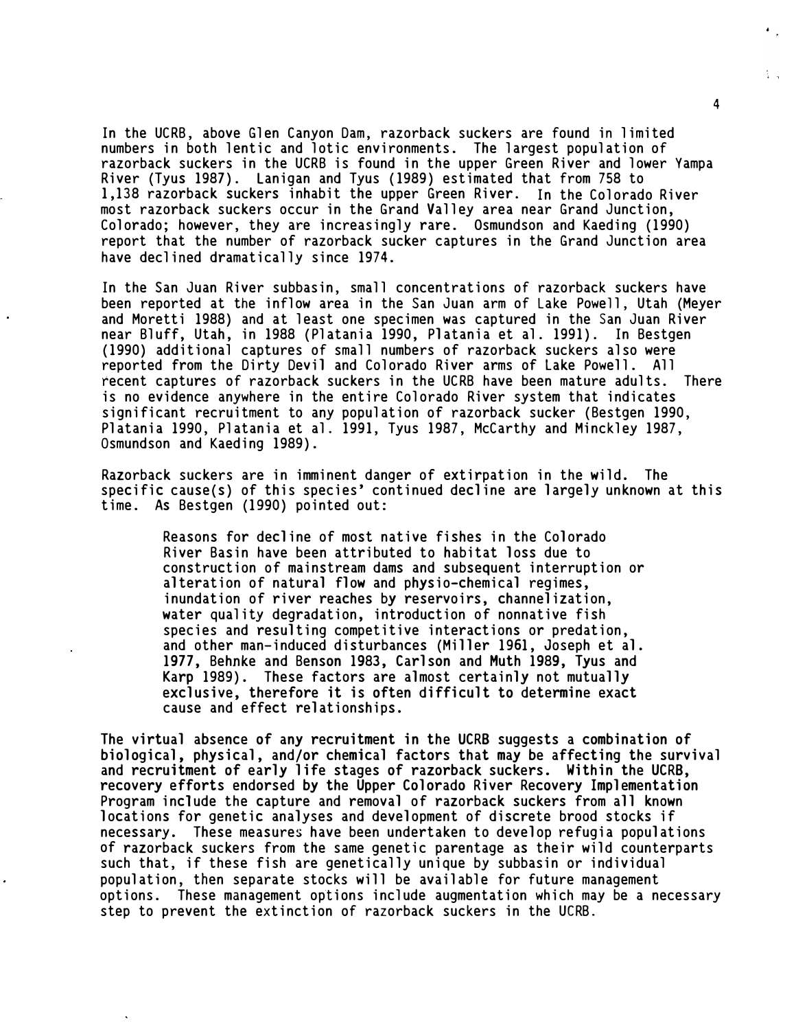In the UCRB, above Glen Canyon Dam, razorback suckers are found in limited numbers in both lentic and lotic environments. The largest population of razorback suckers in the UCRB is found in the upper Green River and lower Yampa River (Tyus 1987). Lanigan and Tyus (1989) estimated that from 758 to 1,138 razorback suckers inhabit the upper Green River. In the Colorado River most razorback suckers occur in the Grand Valley area near Grand Junction, Colorado; however, they are increasingly rare. Osmundson and Kaeding (1990) report that the number of razorback sucker captures in the Grand Junction area have declined dramatically since 1974.

In the San Juan River subbasin, small concentrations of razorback suckers have been reported at the inflow area in the San Juan arm of Lake Powell, Utah (Meyer and Moretti 1988) and at least one specimen was captured in the San Juan River near Bluff, Utah, in 1988 (Platania 1990, Platania et al. 1991). In Bestgen (1990) additional captures of small numbers of razorback suckers also were reported from the Dirty Devil and Colorado River arms of Lake Powell. All recent captures of razorback suckers in the UCRB have been mature adults. There is no evidence anywhere in the entire Colorado River system that indicates significant recruitment to any population of razorback sucker (Bestgen 1990, Platania 1990, Platania et al. 1991, Tyus 1987, McCarthy and Minckley 1987, Osmundson and Kaeding 1989).

Razorback suckers are in imminent danger of extirpation in the wild. The specific cause(s) of this species' continued decline are largely unknown at this time. As Bestgen (1990) pointed out:

Reasons for decline of most native fishes in the Colorado River Basin have been attributed to habitat loss due to construction of mainstream dams and subsequent interruption or alteration of natural flow and physio-chemical regimes, inundation of river reaches by reservoirs, channelization, water quality degradation, introduction of nonnative fish species and resulting competitive interactions or predation, and other man-induced disturbances (Miller 1961, Joseph et al. **1977, Behnke and Benson 1983, Carlson and Muth 1989, Tyus and**  Karp 1989). These factors are almost certainly not mutually **exclusive, therefore it is often difficult to determine exact**  cause and effect relationships.

**The virtual absence of any recruitment in the UCRB suggests a combination of biological, physical, and/or chemical factors that may be affecting the survival and recruitment of early life stages of razorback suckers. Within the UCRB, recovery efforts endorsed by the Upper Colorado River Recovery Implementation**  Program include the capture and removal of razorback suckers from all known locations for genetic analyses and development of discrete brood stocks if necessary. These measures have been undertaken to develop refugia populations of razorback suckers from the same genetic parentage as their wild counterparts such that, if these fish are genetically unique by subbasin or individual population, then separate stocks will be available for future management options. These management options include augmentation which may be a necessary step to prevent the extinction of razorback suckers in the UCRB.

i.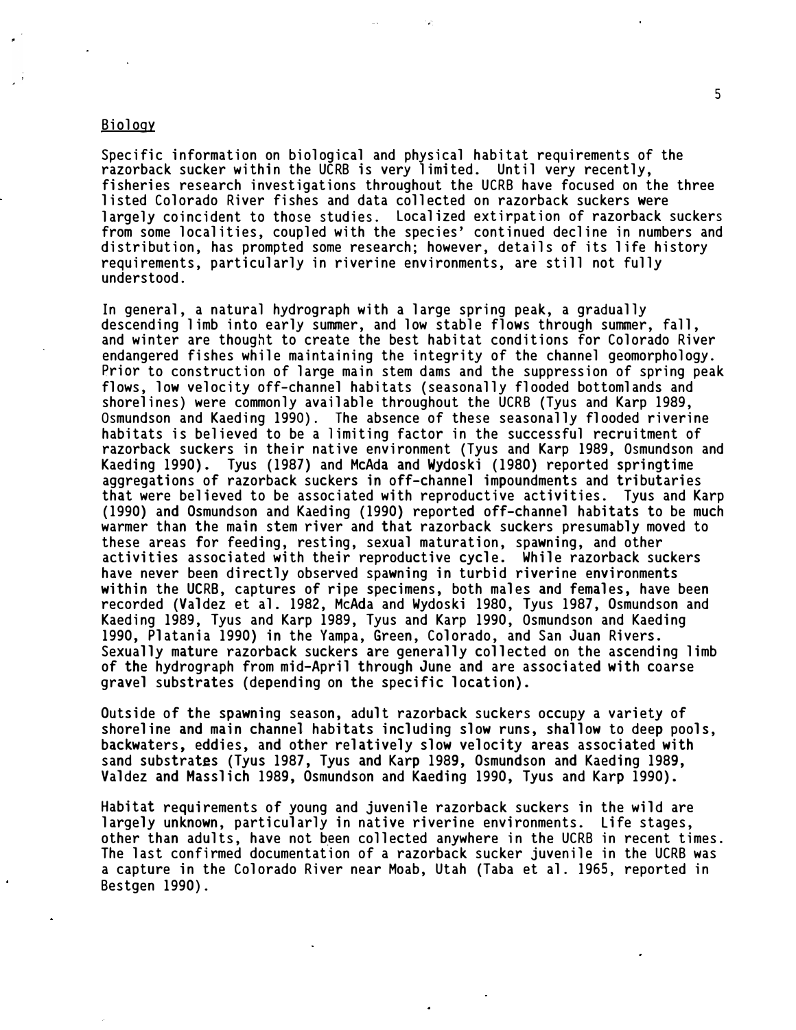# Biol ogy

Specific information on biological and physical habitat requirements of the razorback sucker within the UCRB is very limited. Until very recently, fisheries research investigations throughout the UCRB have focused on the three listed Colorado River fishes and data collected on razorback suckers were largely coincident to those studies. Localized extirpation of razorback suckers from some localities, coupled with the species' continued decline in numbers and distribution, has prompted some research; however, details of its life history requirements, particularly in riverine environments, are still not fully understood.

In general, a natural hydrograph with a large spring peak, a gradually descending limb into early summer, and low stable flows through summer, fall, and winter are thought to create the best habitat conditions for Colorado River endangered fishes while maintaining the integrity of the channel geomorphology. Prior to construction of large main stem dams and the suppression of spring peak flows, low velocity off-channel habitats (seasonally flooded bottomlands and shorelines) were commonly available throughout the UCRB (Tyus and Karp 1989, Osmundson and Kaeding 1990). The absence of these seasonally flooded riverine habitats is believed to be a limiting factor in the successful recruitment of razorback suckers in their native environment (Tyus and Karp 1989, Osmundson and Kaeding 1990). Tyus (1987) and McAda and **Wydoski** (1980) reported springtime aggregations of razorback suckers in off-channel impoundments and tributaries that were bel ieved to be associated with reproductive activities. Tyus and Karp (1990) and Osmundson and Kaeding (1990) reported off-channel habitats to be much warmer than the main stem river and that razorback suckers presumably moved to these areas for feeding, resting, sexual maturation, spawning, and other activities associated with their reproductive cycle. While razorback suckers have never been directly observed spawning in turbid riverine environments within the UCRB, captures of ripe specimens, both males and females, have been recorded (Valdez et al. 1982, McAda and Wydoski 1980, Tyus 1987, Osmundson and Kaeding 1989, Tyus and Karp 1989, Tyus and Karp 1990, Osmundson and Kaeding 1990, Platania 1990) in the Yampa, Green, Colorado, and San Juan Rivers. Sexually mature razorback suckers are generally collected on the ascending limb of the hydrograph from mid-April through June and are associated with coarse gravel substrates (depending on the specific location).

Outside of the spawning season, adult razorback suckers occupy a variety of shoreline and main channel habitats including slow runs, shallow to deep pools, backwaters, eddies, and other relatively slow velocity areas associated with sand substrates (Tyus 1987, Tyus and Karp 1989, Osmundson and Kaeding 1989, Valdez and Masslich 1989, Osmundson and Kaeding 1990, Tyus and Karp 1990).

Habitat requirements of young and juvenile razorback suckers in the wild are largely unknown, particularly in native riverine environments. Life stages, other than adults, have not been collected anywhere in the UCRB in recent times. The last confirmed documentation of a razorback sucker juvenile in the UCRB was a capture in the Col orado River near Moab, Utah (Taba et al. 1965, reported in Bestgen 1990).

5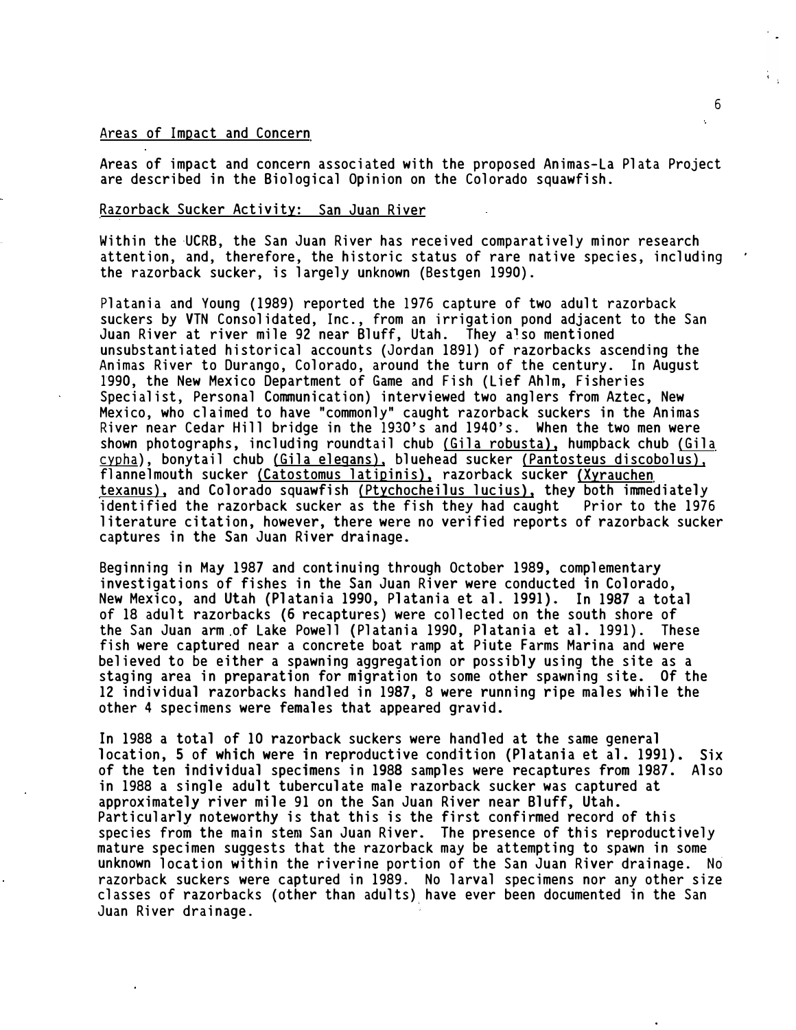### Areas of Impact and Concern

Areas of impact and concern associated with the proposed Animas-La Plata Project are described in the Biological Opinion on the Colorado squawfish.

# Razorback Sucker Activity: San Juan River

Within the UCRB, the San Juan River has received comparatively minor research attention, and, therefore, the historic status of rare native species, including the razorback sucker, is largely unknown (Bestgen 1990).

Platania and Young (1989) reported the 1976 capture of two adult razorback suckers by VTN Consolidated, Inc., from an irrigation pond adjacent to the San Juan River at river mile 92 near Bluff, Utah. They also mentioned unsubstantiated historical accounts (Jordan 1891) of razorbacks ascending the Animas River to Durango, Colorado, around the turn of the century. In August 1990, the New Mexico Department of Game and Fish (Lief Ahlm, Fisheries Specialist, Personal Communication) interviewed two anglers from Aztec, New Mexico, who claimed to have "commonly" caught razorback suckers in the Animas River near Cedar Hill bridge in the 1930's and 1940's. When the two men were <u>cypha</u>), bonytail chub <u>(Gila elegans)</u>, bluehead sucker <u>(Pantosteus discobolus),</u> shown photographs, including roundtail chub (Gila robusta), humpback chub (Gila flannelmouth sucker {Catostomus latipinis), razorback sucker (Xyrauchen texanus), and Colorado squawfish (Ptychocheilus lucius), they both immediately identified the razorback sucker as the fish they had caught Prior to the 1976 literature citation, however, there were no verified reports of razorback sucker captures in the San Juan River drainage.

Beginning in May 1987 and continuing through October 1989, complementary investigations of fishes in the San Juan River were conducted in Colorado, New Mexico, and Utah (Platania 1990, Platania et al. 1991). In 1987 a total of 18 adult razorbacks (6 recaptures) were collected on the south shore of the San Juan arm of Lake Powell (Platania 1990, Platania et al. 1991). These fish were captured near a concrete boat ramp at Piute Farms Marina and were believed to be either a spawning aggregation or possibly using the site as a staging area in preparation for migration to some other spawning site. Of the 12 individual razorbacks handled in 1987, 8 were running ripe males while the other 4 specimens were females that appeared gravid.

In 1988 a total of 10 razorback suckers were handled at the same general location, 5 of which were in reproductive condition (Platania et al. 1991). Six of the ten individual specimens in 1988 samples were recaptures from 1987. Also in 1988 a single adult tuberculate male razorback sucker was captured at approximately river mile 91 on the San Juan River near Bluff, Utah. Particularly noteworthy is that this is the first confirmed record of this species from the main stem San Juan River. The presence of this reproductively mature specimen suggests that the razorback may be attempting to spawn in some unknown location within the riverine portion of the San Juan River drainage. No razorback suckers were captured in 1989. No larval specimens nor any other size classes of razorbacks (other than adults) have ever been documented in the San Juan River drainage.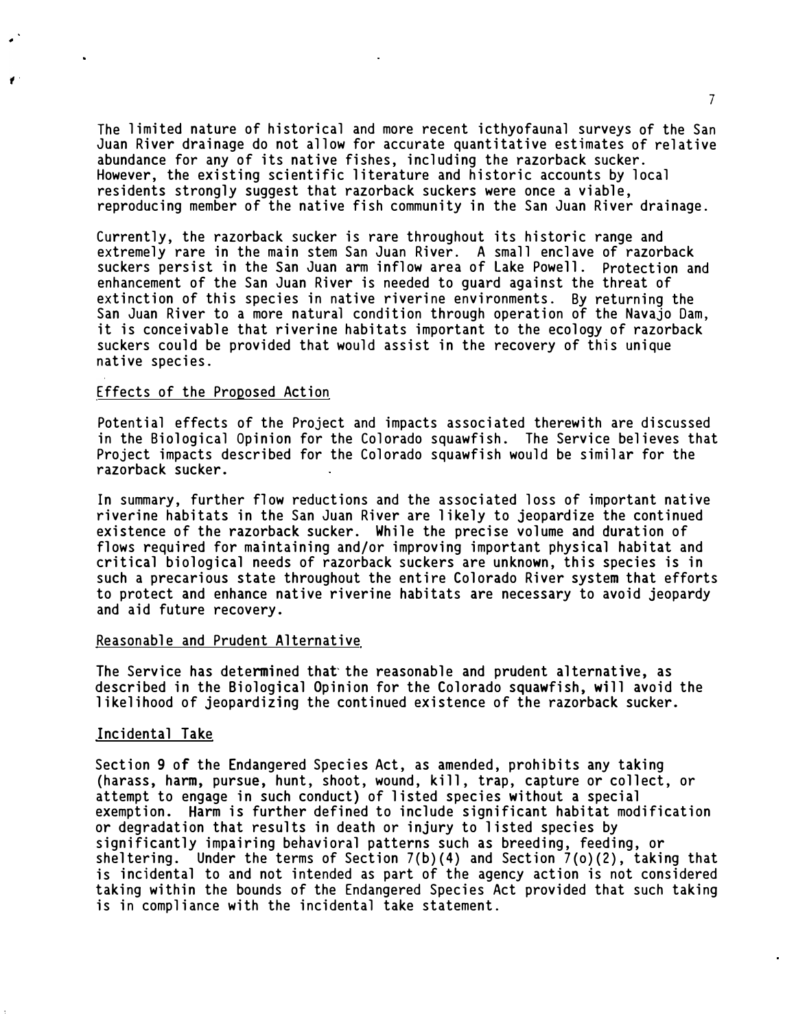The limited nature of historical and more recent icthyofaunal surveys of the San Juan River drainage do not allow for accurate quantitative estimates of relative abundance for any of its native fishes, including the razorback sucker. However, the existing scientific literature and historic accounts by local residents strongly suggest that razorback suckers were once a viable, reproducing member of the native fish community in the San Juan River drainage.

Currently, the razorback sucker is rare throughout its historic range and extremely rare in the main stem San Juan River. A small enclave of razorback suckers persist in the San Juan arm inflow area of Lake Powell. Protection and enhancement of the San Juan River is needed to guard against the threat of extinction of this species in native riverine environments. By returning the San Juan River to a more natural condition through operation of the Navajo Dam, it is conceivable that riverine habitats important to the ecology of razorback suckers could be provided that would assist in the recovery of this unique native species.

# Effects of the Proposed Action

 $\mathbf{r}$ 

Potential effects of the Project and impacts associated therewith are discussed in the Biological Opinion for the Colorado squawfish. The Service believes that Project impacts described for the Colorado squawfish would be similar for the razorback sucker.

In summary, further flow reductions and the associated loss of important native riverine habitats in the San Juan River are likely to jeopardize the continued existence of the razorback sucker. While the precise volume and duration of flows required for maintaining and/or improving important physical habitat and critical biol ogical needs of razorback suckers are unknown, this species is in such a precarious state throughout the entire Colorado River system that efforts to protect and enhance native riverine habitats are necessary to avoid jeopardy and aid future recovery.

# Reasonable and Prudent Alternative

The Service has determined that the reasonable and prudent alternative, as described in the Biological Opinion for the Colorado squawfish, will avoid the l ikel ihood of jeopardizing the continued existence of the razorback sucker.

### Incidental Take

Section 9 of the Endangered Species Act, as amended, prohibits any taking (harass, harm, pursue, hunt, shoot, wound, kill, trap, capture or collect, or attempt to engage in such conduct) of l isted species without a special exemption. Harm is further defined to include significant habitat modification or degradation that results in death or injury to listed species by significantly impairing behavioral patterns such as breeding, feeding, or sheltering. Under the terms of Section  $7(b)(4)$  and Section  $7(o)(2)$ , taking that is incidental to and not intended as part of the agency action is not considered taking within the bounds of the Endangered Species Act provided that such taking is in compliance with the incidental take statement.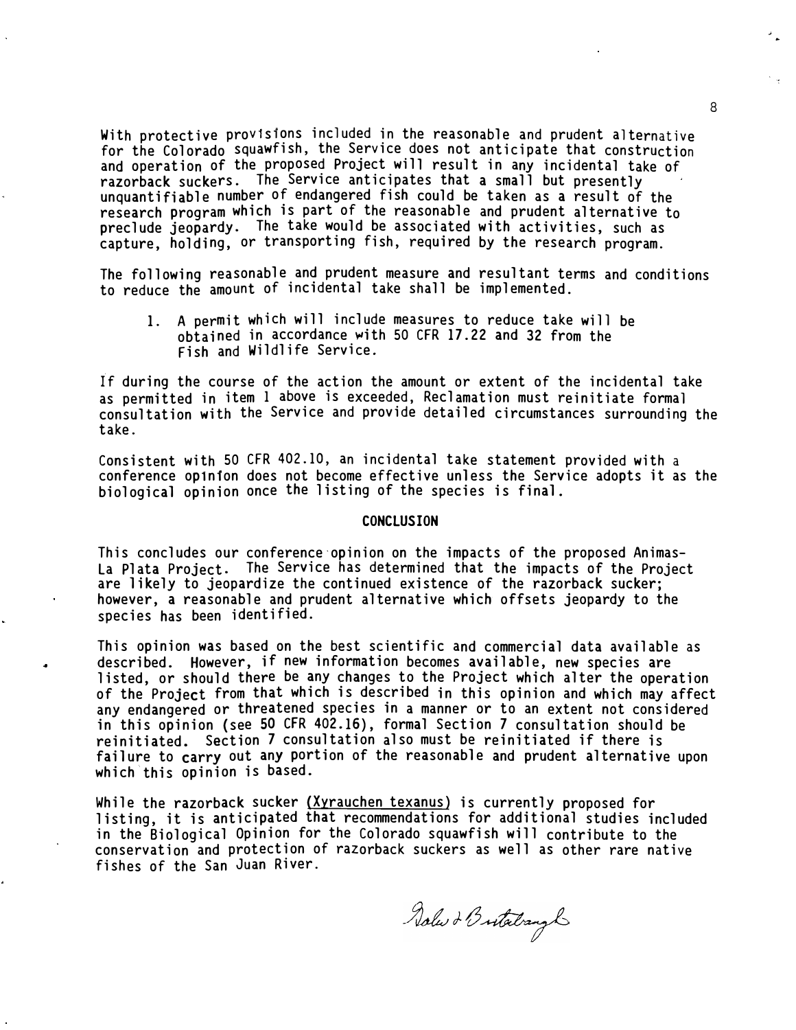With protective provisions included in the reasonable and prudent alternative for the Colorado squawfish, the Service does not anticipate that construction and operation of the proposed Project will result in any incidental take of razorback suckers. The Service anticipates that a small but presently unquantifiable number of endangered fish could be taken as a result of the research program which is part of the reasonable and prudent alternative to preclude jeopardy. The take would be associated with activities, such as capture, holding, or transporting fish, required by the research program.

The following reasonable and prudent measure and resultant terms and conditions to reduce the amount of incidental take shall be implemented.

1. A permit which will include measures to reduce take will be obtained in accordance �ith 50 CFR 17. 22 and 32 from the Fish and Wildlife Service.

if during the course of the action the amount or extent of the incidental take as permitted in item 1 above is exceeded, Reclamation must reinitiate formal consultation **with** the Service and provide detailed circumstances surrounding the take.

Consistent with 50 CFR 402. 10, an incidental take statement provided with a conference op1n1on does not become effective unless the Service adopts it as the biological opinion once the listing of the species is final.

### **CONCLUSION**

This concludes our conference·opinion on the impacts of the proposed Animas-La Plata Project. The Service has determined that the impacts of the Project are likely to jeopardize the continued existence of the razorback sucker; however, a reasonable and prudent alternative which offsets jeopardy to the species has been identified.

This opinion was based on the best scientific and commercial data available as described. However, if new information becomes available, new species are listed, or should there be any changes to the Project which alter the operation of the Project from that which is described in this opinion and which may affect any endangered or threatened species in a manner or to an extent not considered in this opinion (see 50 CFR 402.16), formal Section 7 consultation should be reinitiated. Section 7 consultation also must be reinitiated if there is failure to carry out any portion of the reasonable and prudent alternative upon which this opinion is based.

While the razorback sucker (Xyrauchen texanus) is currently proposed for listing, it is anticipated that recommendations for additional studies included in the Biological Opinion for the Colorado squawfish will contribute to the conservation and protection of razorback suckers as well as other rare native fishes of the San Juan River.

Solw & Butatrangh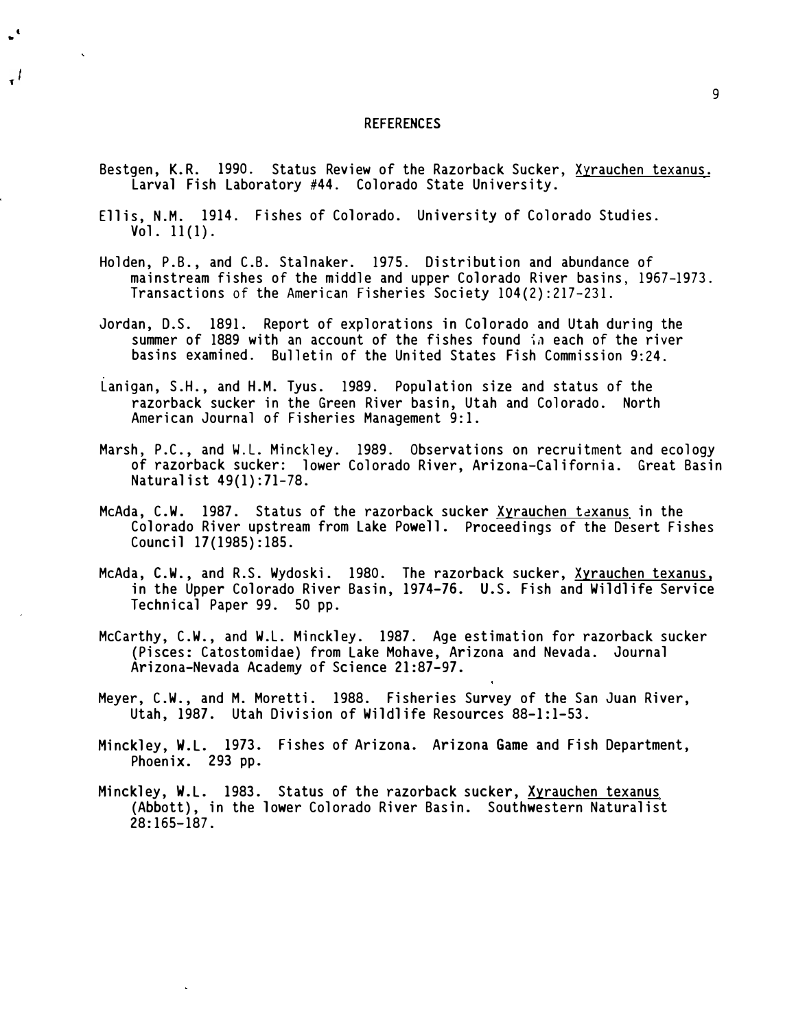### REFERENCES

- Bestgen, **K.R.** 1990. Status Review of the Razorback Sucker, Xyrauchen texanus. Larval Fish Laboratory #44. Colorado State University.
- Ellis, N.M. 1914. Fishes of Colorado. University of Colorado Studies. Vol. 11(1).

**t**  ..

ایہ

- Holden, P.B., and C.B. Stalnaker. 1975. Distribution and abundance of mainstream fishes of the middle and upper Colorado River basins, 1967-1973. Transactions of the American Fisheries Society 104 (2):217-23 1.
- Jordan, D.S. 1891. Report of explorations in Colorado and Utah during the summer of 1889 with an account of the fishes found in each of the river basins examined. Bulletin of the United States Fish Commission 9:24.
- Lanigan, S.H., and H.M. Tyus. 1989. Population size and status of the razorback sucker in the Green River basin, Utah and Colorado. North American Journal of Fisheries Management 9:1.
- Marsh, P.C., and W.L. Minckley. 1989. Observations on recruitment and ecology of razorback sucker: lower Colorado River, Arizona-Cal ifornia. Great Basin Naturalist 49(1):71-78.
- McAda, C.W. 1987. Status of the razorback sucker Xyrauchen texanus in the Colorado River upstream from Lake Powell. Proceedings of the Desert Fishes Council 17(1985): 185.
- McAda, C.W., and R.S. Wydoski. 1980. The razorback sucker, Xyrauchen texanus, in the Upper Colorado River Basin, 1974-76. U. S. Fish and Wildlife Service Technical Paper 99. 50 pp.
- McCarthy, C.W., and W.L. Minckley. 1987. Age estimation for razorback sucker (Pisces: Catostomidae) from Lake Mohave, Arizona and Nevada. Journal Arizona-Nevada Academy of Science 21:87-97.
- Meyer, C.W., and M. Moretti. 1988. Fisheries Survey of the San Juan River, Utah, 1987. Utah Division of Wildlife Resources 88-1:1-53.
- Hinckley, W.L. 1973. Fishes of Arizona. Arizona Game and Fish Department, Phoenix. 293 pp.
- Minckley, W.L. 1983. Status of the razorback sucker, Xyrauchen texanus (Abbott), in the lower Colorado River Basin. Southwestern Naturalist 28: 165-187.